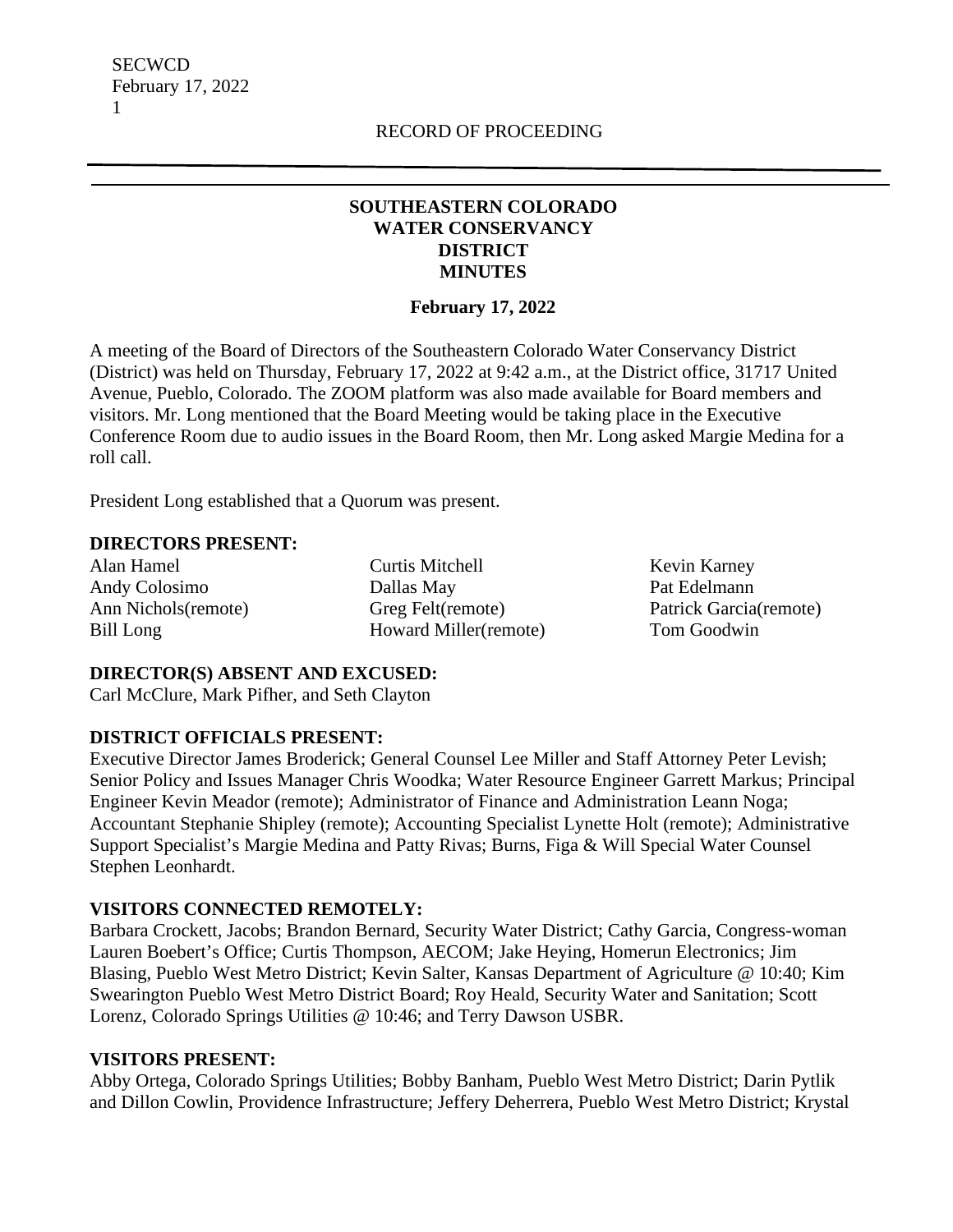**SECWCD** February 17, 2022 1

# **SOUTHEASTERN COLORADO WATER CONSERVANCY DISTRICT MINUTES**

## **February 17, 2022**

A meeting of the Board of Directors of the Southeastern Colorado Water Conservancy District (District) was held on Thursday, February 17, 2022 at 9:42 a.m., at the District office, 31717 United Avenue, Pueblo, Colorado. The ZOOM platform was also made available for Board members and visitors. Mr. Long mentioned that the Board Meeting would be taking place in the Executive Conference Room due to audio issues in the Board Room, then Mr. Long asked Margie Medina for a roll call.

President Long established that a Quorum was present.

#### **DIRECTORS PRESENT:**

Alan Hamel Andy Colosimo Ann Nichols(remote) Bill Long

Curtis Mitchell Dallas May Greg Felt(remote) Howard Miller(remote)

Kevin Karney Pat Edelmann Patrick Garcia(remote) Tom Goodwin

## **DIRECTOR(S) ABSENT AND EXCUSED:**

Carl McClure, Mark Pifher, and Seth Clayton

## **DISTRICT OFFICIALS PRESENT:**

Executive Director James Broderick; General Counsel Lee Miller and Staff Attorney Peter Levish; Senior Policy and Issues Manager Chris Woodka; Water Resource Engineer Garrett Markus; Principal Engineer Kevin Meador (remote); Administrator of Finance and Administration Leann Noga; Accountant Stephanie Shipley (remote); Accounting Specialist Lynette Holt (remote); Administrative Support Specialist's Margie Medina and Patty Rivas; Burns, Figa & Will Special Water Counsel Stephen Leonhardt.

## **VISITORS CONNECTED REMOTELY:**

Barbara Crockett, Jacobs; Brandon Bernard, Security Water District; Cathy Garcia, Congress-woman Lauren Boebert's Office; Curtis Thompson, AECOM; Jake Heying, Homerun Electronics; Jim Blasing, Pueblo West Metro District; Kevin Salter, Kansas Department of Agriculture @ 10:40; Kim Swearington Pueblo West Metro District Board; Roy Heald, Security Water and Sanitation; Scott Lorenz, Colorado Springs Utilities @ 10:46; and Terry Dawson USBR.

#### **VISITORS PRESENT:**

Abby Ortega, Colorado Springs Utilities; Bobby Banham, Pueblo West Metro District; Darin Pytlik and Dillon Cowlin, Providence Infrastructure; Jeffery Deherrera, Pueblo West Metro District; Krystal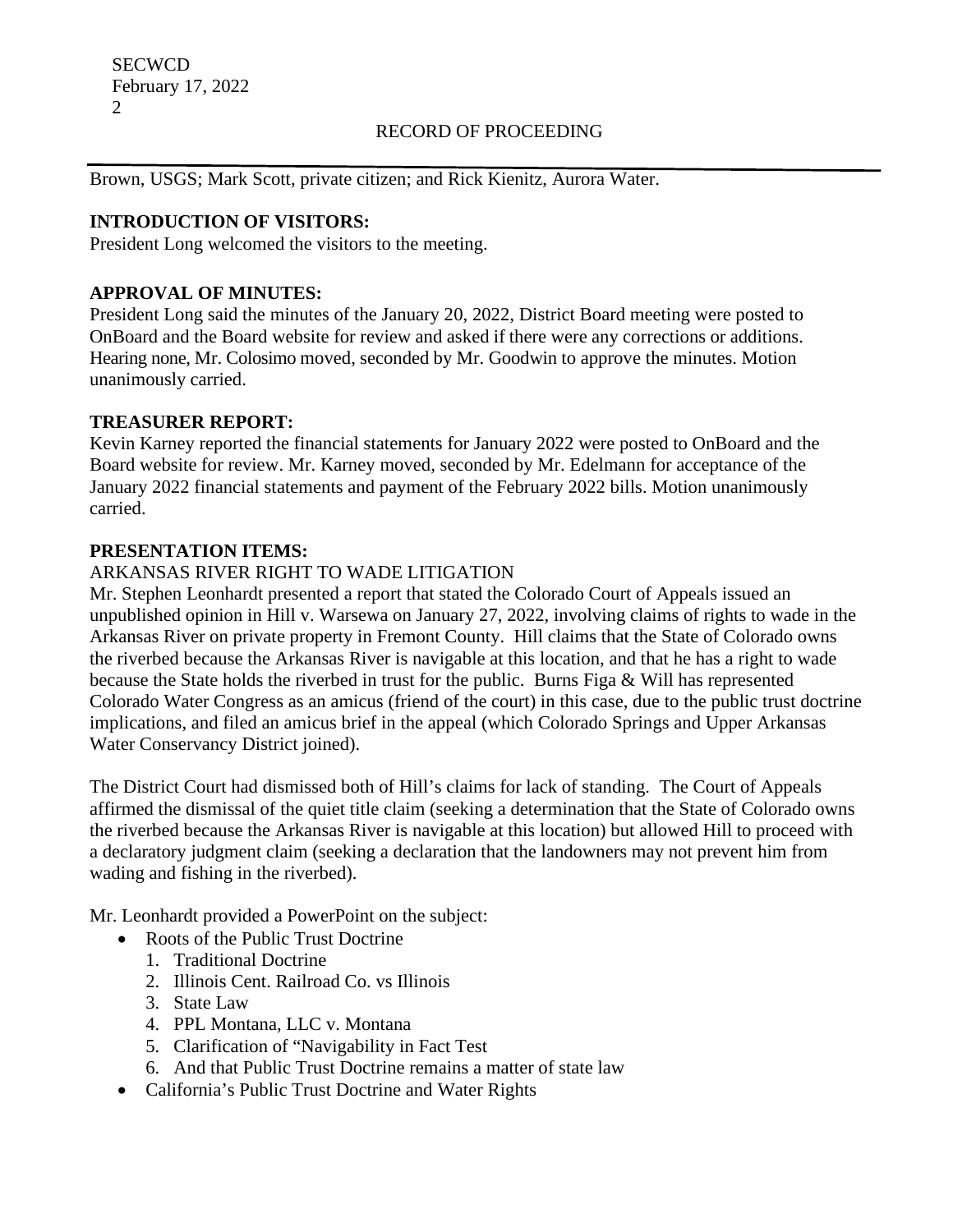Brown, USGS; Mark Scott, private citizen; and Rick Kienitz, Aurora Water.

## **INTRODUCTION OF VISITORS:**

President Long welcomed the visitors to the meeting.

## **APPROVAL OF MINUTES:**

President Long said the minutes of the January 20, 2022, District Board meeting were posted to OnBoard and the Board website for review and asked if there were any corrections or additions. Hearing none, Mr. Colosimo moved, seconded by Mr. Goodwin to approve the minutes. Motion unanimously carried.

#### **TREASURER REPORT:**

Kevin Karney reported the financial statements for January 2022 were posted to OnBoard and the Board website for review. Mr. Karney moved, seconded by Mr. Edelmann for acceptance of the January 2022 financial statements and payment of the February 2022 bills. Motion unanimously carried.

#### **PRESENTATION ITEMS:**

## ARKANSAS RIVER RIGHT TO WADE LITIGATION

Mr. Stephen Leonhardt presented a report that stated the Colorado Court of Appeals issued an unpublished opinion in Hill v. Warsewa on January 27, 2022, involving claims of rights to wade in the Arkansas River on private property in Fremont County. Hill claims that the State of Colorado owns the riverbed because the Arkansas River is navigable at this location, and that he has a right to wade because the State holds the riverbed in trust for the public. Burns Figa & Will has represented Colorado Water Congress as an amicus (friend of the court) in this case, due to the public trust doctrine implications, and filed an amicus brief in the appeal (which Colorado Springs and Upper Arkansas Water Conservancy District joined).

The District Court had dismissed both of Hill's claims for lack of standing. The Court of Appeals affirmed the dismissal of the quiet title claim (seeking a determination that the State of Colorado owns the riverbed because the Arkansas River is navigable at this location) but allowed Hill to proceed with a declaratory judgment claim (seeking a declaration that the landowners may not prevent him from wading and fishing in the riverbed).

Mr. Leonhardt provided a PowerPoint on the subject:

- Roots of the Public Trust Doctrine
	- 1. Traditional Doctrine
	- 2. Illinois Cent. Railroad Co. vs Illinois
	- 3. State Law
	- 4. PPL Montana, LLC v. Montana
	- 5. Clarification of "Navigability in Fact Test
	- 6. And that Public Trust Doctrine remains a matter of state law
- California's Public Trust Doctrine and Water Rights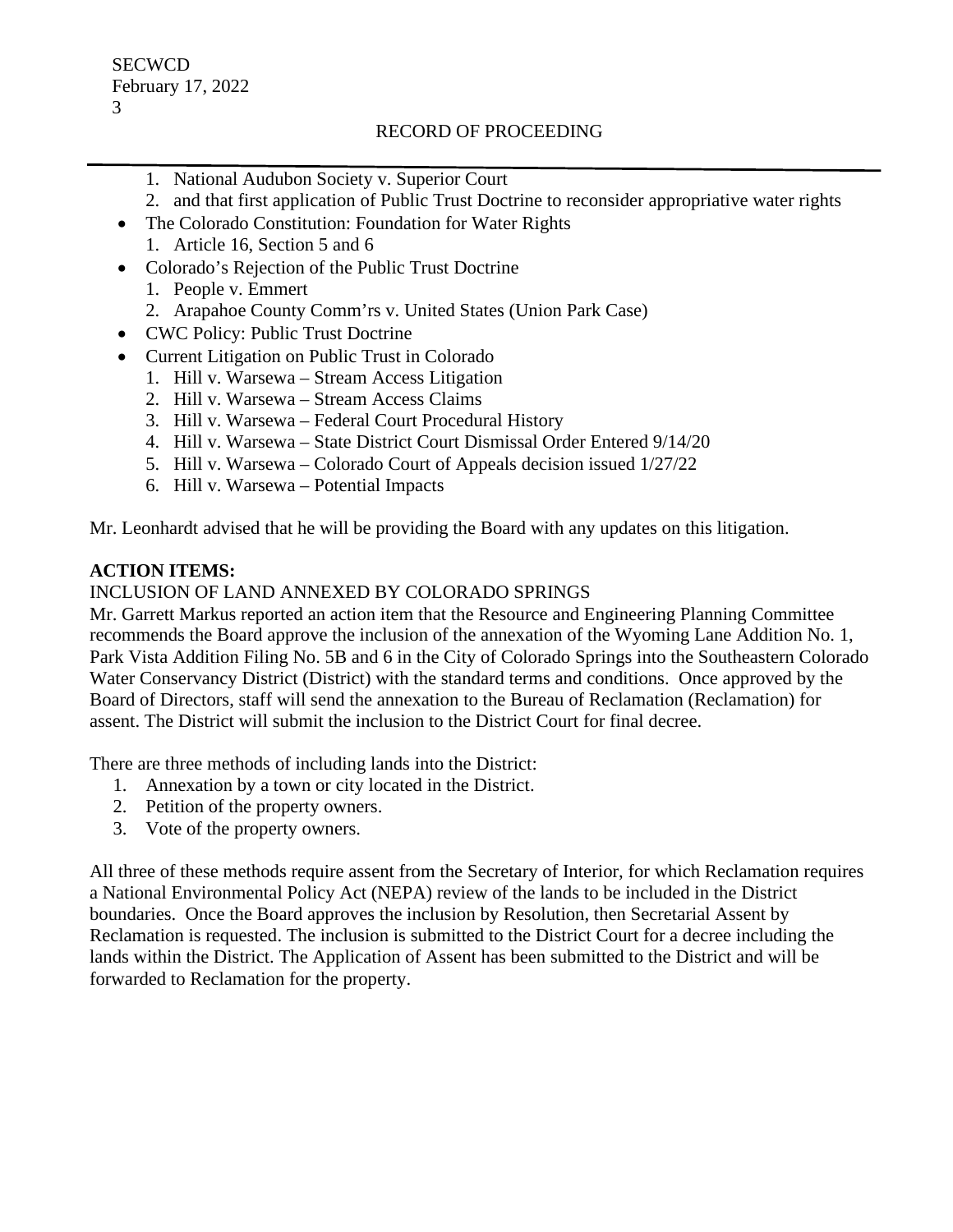- 1. National Audubon Society v. Superior Court
- 2. and that first application of Public Trust Doctrine to reconsider appropriative water rights
- The Colorado Constitution: Foundation for Water Rights
	- 1. Article 16, Section 5 and 6
- Colorado's Rejection of the Public Trust Doctrine
	- 1. People v. Emmert
	- 2. Arapahoe County Comm'rs v. United States (Union Park Case)
- CWC Policy: Public Trust Doctrine
- Current Litigation on Public Trust in Colorado
	- 1. Hill v. Warsewa Stream Access Litigation
	- 2. Hill v. Warsewa Stream Access Claims
	- 3. Hill v. Warsewa Federal Court Procedural History
	- 4. Hill v. Warsewa State District Court Dismissal Order Entered 9/14/20
	- 5. Hill v. Warsewa Colorado Court of Appeals decision issued 1/27/22
	- 6. Hill v. Warsewa Potential Impacts

Mr. Leonhardt advised that he will be providing the Board with any updates on this litigation.

# **ACTION ITEMS:**

# INCLUSION OF LAND ANNEXED BY COLORADO SPRINGS

Mr. Garrett Markus reported an action item that the Resource and Engineering Planning Committee recommends the Board approve the inclusion of the annexation of the Wyoming Lane Addition No. 1, Park Vista Addition Filing No. 5B and 6 in the City of Colorado Springs into the Southeastern Colorado Water Conservancy District (District) with the standard terms and conditions. Once approved by the Board of Directors, staff will send the annexation to the Bureau of Reclamation (Reclamation) for assent. The District will submit the inclusion to the District Court for final decree.

There are three methods of including lands into the District:

- 1. Annexation by a town or city located in the District.
- 2. Petition of the property owners.
- 3. Vote of the property owners.

All three of these methods require assent from the Secretary of Interior, for which Reclamation requires a National Environmental Policy Act (NEPA) review of the lands to be included in the District boundaries. Once the Board approves the inclusion by Resolution, then Secretarial Assent by Reclamation is requested. The inclusion is submitted to the District Court for a decree including the lands within the District. The Application of Assent has been submitted to the District and will be forwarded to Reclamation for the property.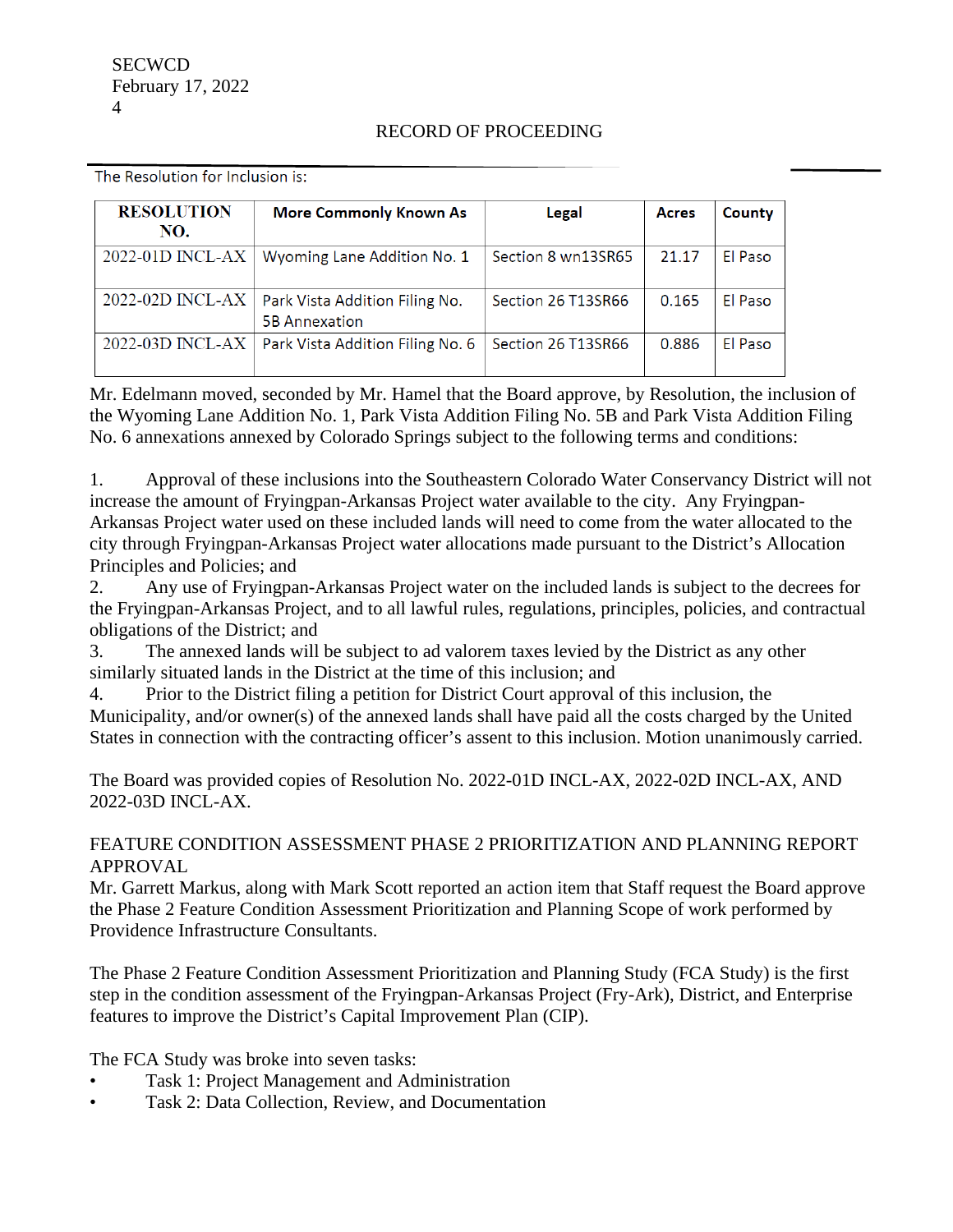| <b>RESOLUTION</b><br>NO. | <b>More Commonly Known As</b>                          | Legal              | <b>Acres</b> | County  |
|--------------------------|--------------------------------------------------------|--------------------|--------------|---------|
| 2022-01D INCL-AX         | Wyoming Lane Addition No. 1                            | Section 8 wn13SR65 | 21.17        | El Paso |
| 2022-02D INCL-AX         | Park Vista Addition Filing No.<br><b>5B Annexation</b> | Section 26 T13SR66 | 0.165        | El Paso |
| 2022-03D INCL-AX         | Park Vista Addition Filing No. 6                       | Section 26 T13SR66 | 0.886        | El Paso |

The Resolution for Inclusion is:

Mr. Edelmann moved, seconded by Mr. Hamel that the Board approve, by Resolution, the inclusion of the Wyoming Lane Addition No. 1, Park Vista Addition Filing No. 5B and Park Vista Addition Filing No. 6 annexations annexed by Colorado Springs subject to the following terms and conditions:

1. Approval of these inclusions into the Southeastern Colorado Water Conservancy District will not increase the amount of Fryingpan-Arkansas Project water available to the city. Any Fryingpan-Arkansas Project water used on these included lands will need to come from the water allocated to the city through Fryingpan-Arkansas Project water allocations made pursuant to the District's Allocation Principles and Policies; and

2. Any use of Fryingpan-Arkansas Project water on the included lands is subject to the decrees for the Fryingpan-Arkansas Project, and to all lawful rules, regulations, principles, policies, and contractual obligations of the District; and

3. The annexed lands will be subject to ad valorem taxes levied by the District as any other similarly situated lands in the District at the time of this inclusion; and

4. Prior to the District filing a petition for District Court approval of this inclusion, the Municipality, and/or owner(s) of the annexed lands shall have paid all the costs charged by the United States in connection with the contracting officer's assent to this inclusion. Motion unanimously carried.

The Board was provided copies of Resolution No. 2022-01D INCL-AX, 2022-02D INCL-AX, AND 2022-03D INCL-AX.

## FEATURE CONDITION ASSESSMENT PHASE 2 PRIORITIZATION AND PLANNING REPORT APPROVAL

Mr. Garrett Markus, along with Mark Scott reported an action item that Staff request the Board approve the Phase 2 Feature Condition Assessment Prioritization and Planning Scope of work performed by Providence Infrastructure Consultants.

The Phase 2 Feature Condition Assessment Prioritization and Planning Study (FCA Study) is the first step in the condition assessment of the Fryingpan-Arkansas Project (Fry-Ark), District, and Enterprise features to improve the District's Capital Improvement Plan (CIP).

The FCA Study was broke into seven tasks:

- Task 1: Project Management and Administration
- Task 2: Data Collection, Review, and Documentation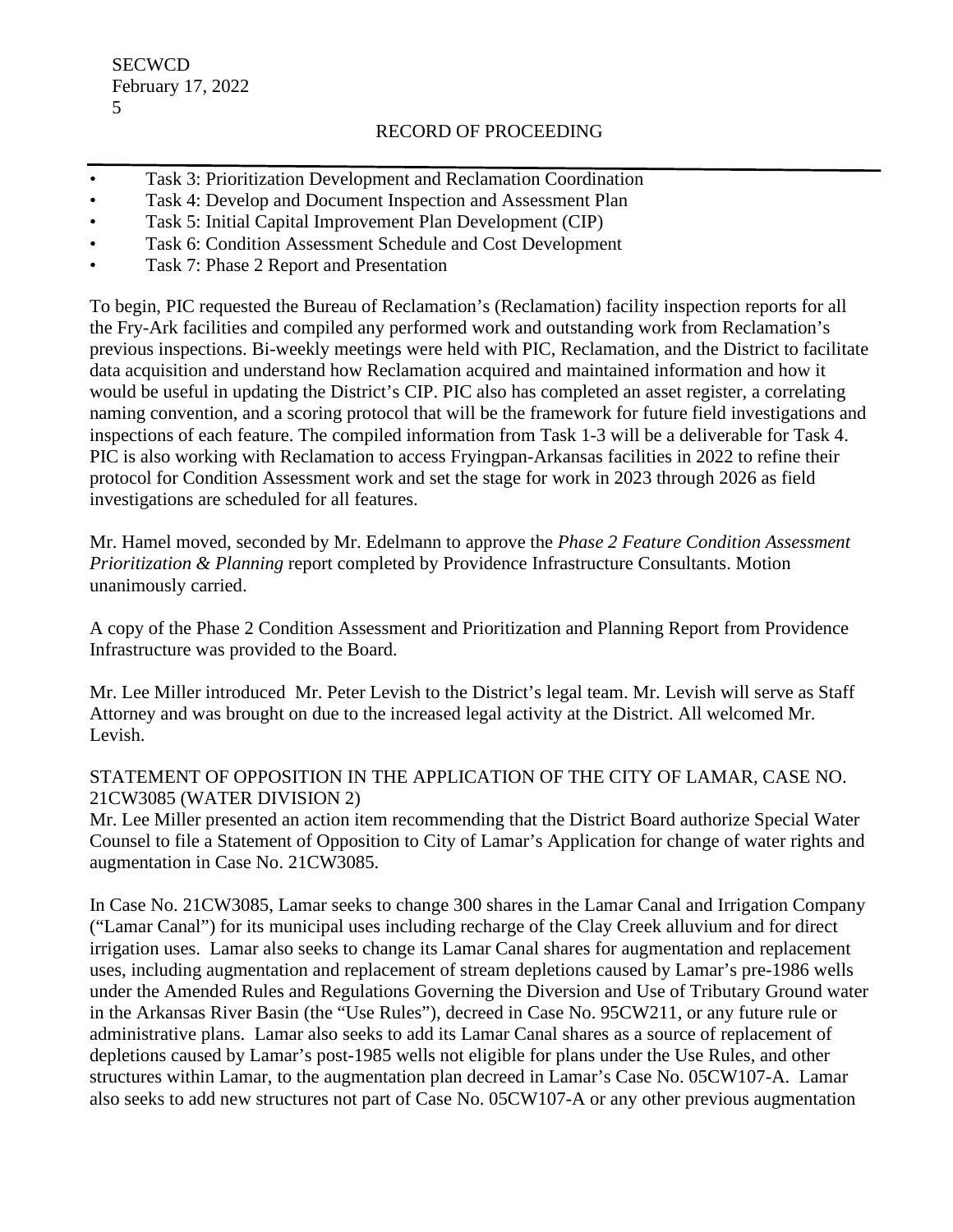**SECWCD** February 17, 2022 5

## RECORD OF PROCEEDING

- Task 3: Prioritization Development and Reclamation Coordination
- Task 4: Develop and Document Inspection and Assessment Plan
- Task 5: Initial Capital Improvement Plan Development (CIP)
- Task 6: Condition Assessment Schedule and Cost Development
- Task 7: Phase 2 Report and Presentation

To begin, PIC requested the Bureau of Reclamation's (Reclamation) facility inspection reports for all the Fry-Ark facilities and compiled any performed work and outstanding work from Reclamation's previous inspections. Bi-weekly meetings were held with PIC, Reclamation, and the District to facilitate data acquisition and understand how Reclamation acquired and maintained information and how it would be useful in updating the District's CIP. PIC also has completed an asset register, a correlating naming convention, and a scoring protocol that will be the framework for future field investigations and inspections of each feature. The compiled information from Task 1-3 will be a deliverable for Task 4. PIC is also working with Reclamation to access Fryingpan-Arkansas facilities in 2022 to refine their protocol for Condition Assessment work and set the stage for work in 2023 through 2026 as field investigations are scheduled for all features.

Mr. Hamel moved, seconded by Mr. Edelmann to approve the *Phase 2 Feature Condition Assessment Prioritization & Planning* report completed by Providence Infrastructure Consultants. Motion unanimously carried.

A copy of the Phase 2 Condition Assessment and Prioritization and Planning Report from Providence Infrastructure was provided to the Board.

Mr. Lee Miller introduced Mr. Peter Levish to the District's legal team. Mr. Levish will serve as Staff Attorney and was brought on due to the increased legal activity at the District. All welcomed Mr. Levish.

## STATEMENT OF OPPOSITION IN THE APPLICATION OF THE CITY OF LAMAR, CASE NO. 21CW3085 (WATER DIVISION 2)

Mr. Lee Miller presented an action item recommending that the District Board authorize Special Water Counsel to file a Statement of Opposition to City of Lamar's Application for change of water rights and augmentation in Case No. 21CW3085.

In Case No. 21CW3085, Lamar seeks to change 300 shares in the Lamar Canal and Irrigation Company ("Lamar Canal") for its municipal uses including recharge of the Clay Creek alluvium and for direct irrigation uses. Lamar also seeks to change its Lamar Canal shares for augmentation and replacement uses, including augmentation and replacement of stream depletions caused by Lamar's pre-1986 wells under the Amended Rules and Regulations Governing the Diversion and Use of Tributary Ground water in the Arkansas River Basin (the "Use Rules"), decreed in Case No. 95CW211, or any future rule or administrative plans. Lamar also seeks to add its Lamar Canal shares as a source of replacement of depletions caused by Lamar's post-1985 wells not eligible for plans under the Use Rules, and other structures within Lamar, to the augmentation plan decreed in Lamar's Case No. 05CW107-A. Lamar also seeks to add new structures not part of Case No. 05CW107-A or any other previous augmentation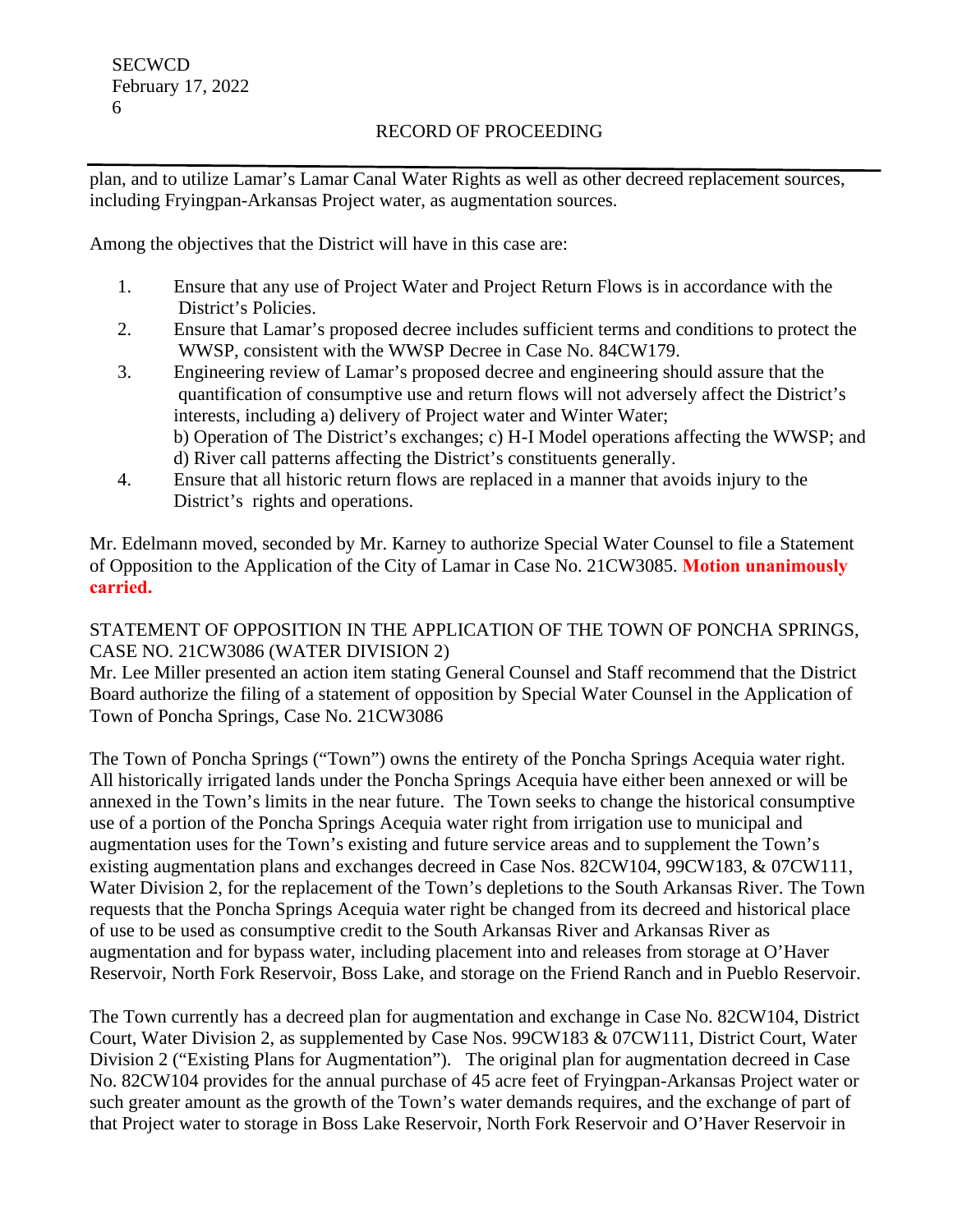plan, and to utilize Lamar's Lamar Canal Water Rights as well as other decreed replacement sources, including Fryingpan-Arkansas Project water, as augmentation sources.

Among the objectives that the District will have in this case are:

- 1. Ensure that any use of Project Water and Project Return Flows is in accordance with the District's Policies.
- 2. Ensure that Lamar's proposed decree includes sufficient terms and conditions to protect the WWSP, consistent with the WWSP Decree in Case No. 84CW179.
- 3. Engineering review of Lamar's proposed decree and engineering should assure that the quantification of consumptive use and return flows will not adversely affect the District's interests, including a) delivery of Project water and Winter Water; b) Operation of The District's exchanges; c) H-I Model operations affecting the WWSP; and d) River call patterns affecting the District's constituents generally.
- 4. Ensure that all historic return flows are replaced in a manner that avoids injury to the District's rights and operations.

Mr. Edelmann moved, seconded by Mr. Karney to authorize Special Water Counsel to file a Statement of Opposition to the Application of the City of Lamar in Case No. 21CW3085. **Motion unanimously carried.**

STATEMENT OF OPPOSITION IN THE APPLICATION OF THE TOWN OF PONCHA SPRINGS, CASE NO. 21CW3086 (WATER DIVISION 2)

Mr. Lee Miller presented an action item stating General Counsel and Staff recommend that the District Board authorize the filing of a statement of opposition by Special Water Counsel in the Application of Town of Poncha Springs, Case No. 21CW3086

The Town of Poncha Springs ("Town") owns the entirety of the Poncha Springs Acequia water right. All historically irrigated lands under the Poncha Springs Acequia have either been annexed or will be annexed in the Town's limits in the near future. The Town seeks to change the historical consumptive use of a portion of the Poncha Springs Acequia water right from irrigation use to municipal and augmentation uses for the Town's existing and future service areas and to supplement the Town's existing augmentation plans and exchanges decreed in Case Nos. 82CW104, 99CW183, & 07CW111, Water Division 2, for the replacement of the Town's depletions to the South Arkansas River. The Town requests that the Poncha Springs Acequia water right be changed from its decreed and historical place of use to be used as consumptive credit to the South Arkansas River and Arkansas River as augmentation and for bypass water, including placement into and releases from storage at O'Haver Reservoir, North Fork Reservoir, Boss Lake, and storage on the Friend Ranch and in Pueblo Reservoir.

The Town currently has a decreed plan for augmentation and exchange in Case No. 82CW104, District Court, Water Division 2, as supplemented by Case Nos. 99CW183 & 07CW111, District Court, Water Division 2 ("Existing Plans for Augmentation"). The original plan for augmentation decreed in Case No. 82CW104 provides for the annual purchase of 45 acre feet of Fryingpan-Arkansas Project water or such greater amount as the growth of the Town's water demands requires, and the exchange of part of that Project water to storage in Boss Lake Reservoir, North Fork Reservoir and O'Haver Reservoir in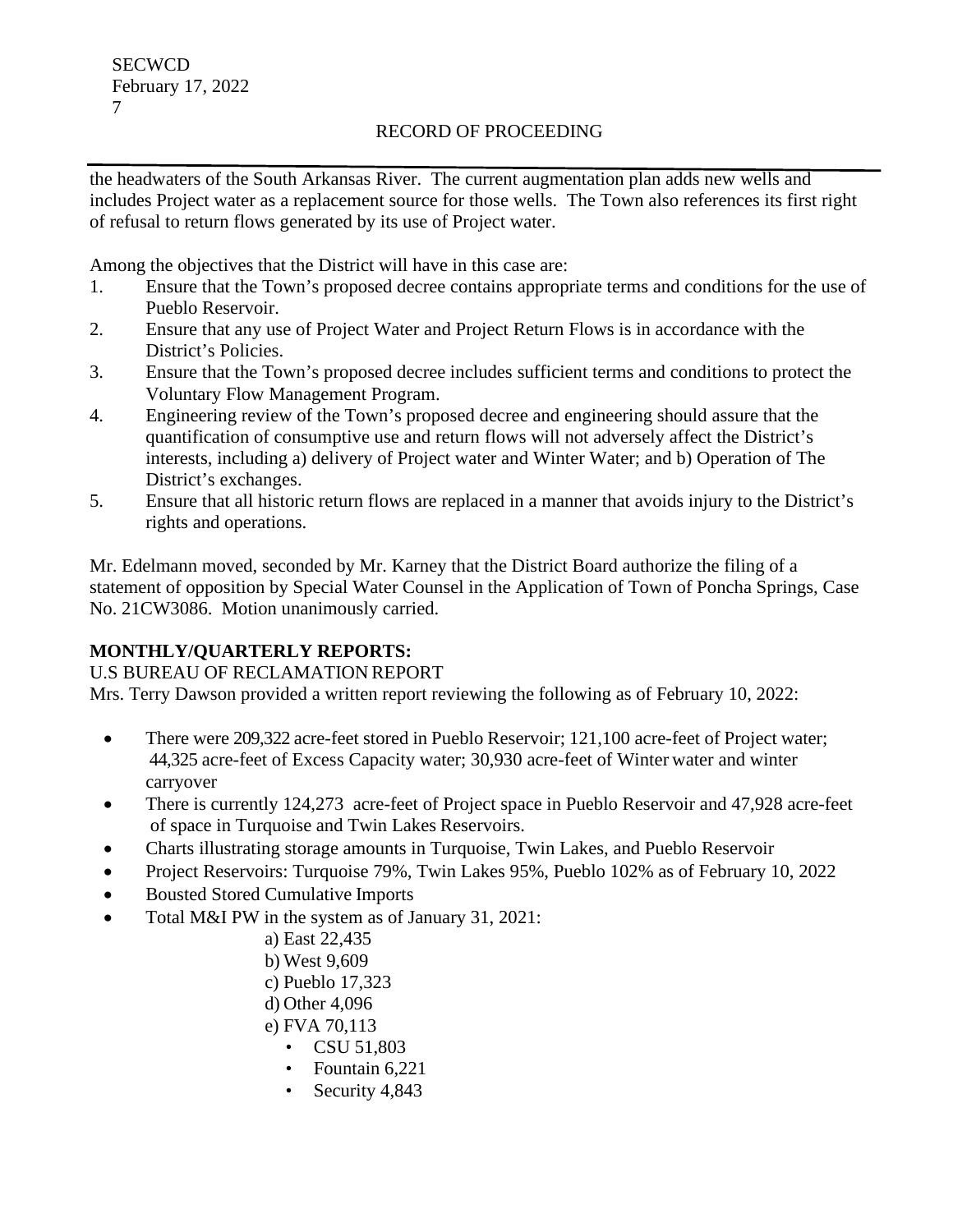the headwaters of the South Arkansas River. The current augmentation plan adds new wells and includes Project water as a replacement source for those wells. The Town also references its first right of refusal to return flows generated by its use of Project water.

Among the objectives that the District will have in this case are:

- 1. Ensure that the Town's proposed decree contains appropriate terms and conditions for the use of Pueblo Reservoir.
- 2. Ensure that any use of Project Water and Project Return Flows is in accordance with the District's Policies.
- 3. Ensure that the Town's proposed decree includes sufficient terms and conditions to protect the Voluntary Flow Management Program.
- 4. Engineering review of the Town's proposed decree and engineering should assure that the quantification of consumptive use and return flows will not adversely affect the District's interests, including a) delivery of Project water and Winter Water; and b) Operation of The District's exchanges.
- 5. Ensure that all historic return flows are replaced in a manner that avoids injury to the District's rights and operations.

Mr. Edelmann moved, seconded by Mr. Karney that the District Board authorize the filing of a statement of opposition by Special Water Counsel in the Application of Town of Poncha Springs, Case No. 21CW3086. Motion unanimously carried.

# **MONTHLY/QUARTERLY REPORTS:**

# U.S BUREAU OF RECLAMATION REPORT

Mrs. Terry Dawson provided a written report reviewing the following as of February 10, 2022:

- There were 209,322 acre-feet stored in Pueblo Reservoir; 121,100 acre-feet of Project water; 44,325 acre-feet of Excess Capacity water; 30,930 acre-feet of Winter water and winter carryover
- There is currently 124,273 acre-feet of Project space in Pueblo Reservoir and 47,928 acre-feet of space in Turquoise and Twin Lakes Reservoirs.
- Charts illustrating storage amounts in Turquoise, Twin Lakes, and Pueblo Reservoir
- Project Reservoirs: Turquoise 79%, Twin Lakes 95%, Pueblo 102% as of February 10, 2022
- Bousted Stored Cumulative Imports
- Total M&I PW in the system as of January 31, 2021:
	- a) East 22,435
	- b) West 9,609
	- c) Pueblo 17,323
	- d) Other 4,096
	- e) FVA 70,113
		- CSU 51.803
		- Fountain 6,221
		- Security 4,843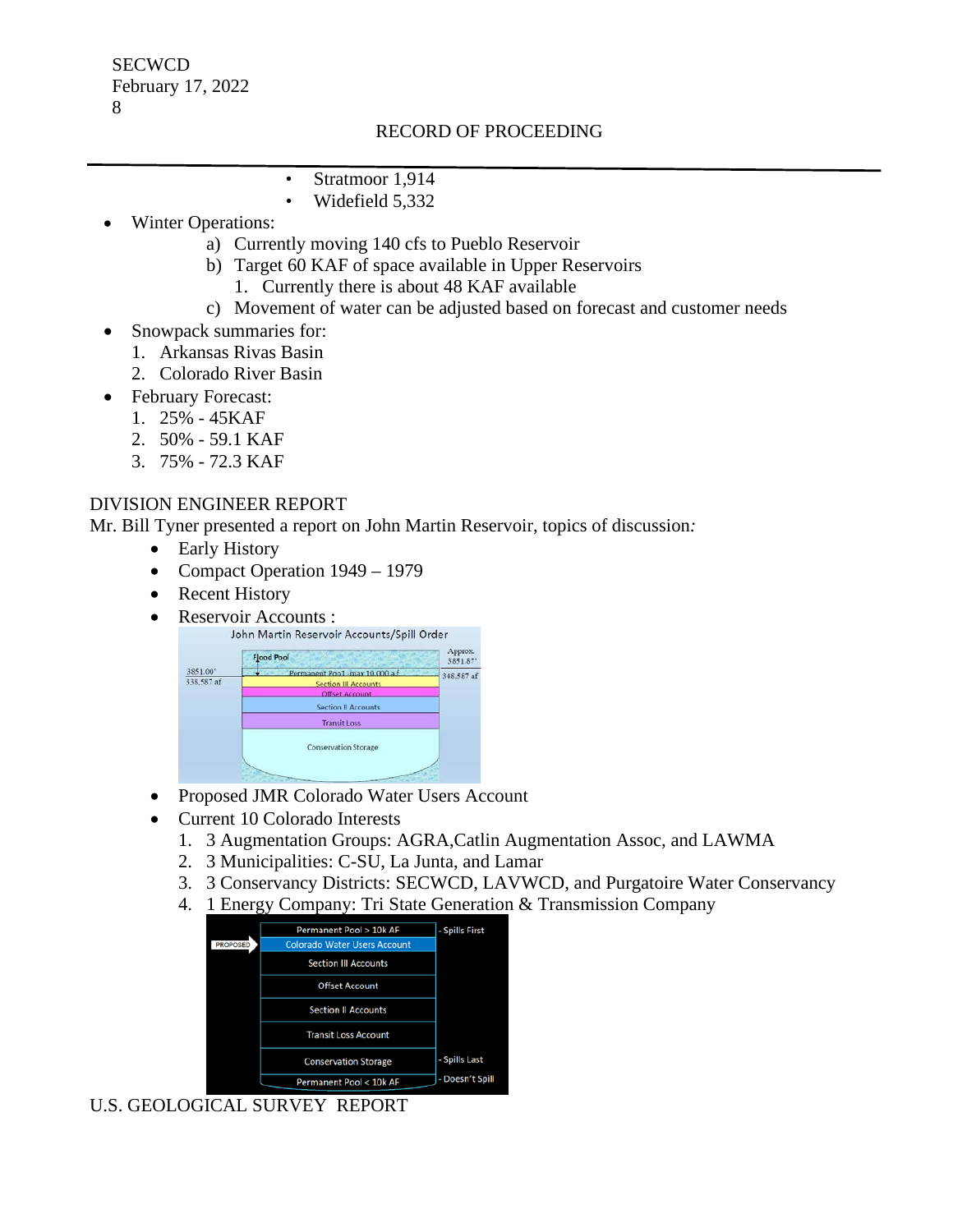- Stratmoor 1,914
- Widefield 5,332
- Winter Operations:
	- a) Currently moving 140 cfs to Pueblo Reservoir
	- b) Target 60 KAF of space available in Upper Reservoirs
		- 1. Currently there is about 48 KAF available
	- c) Movement of water can be adjusted based on forecast and customer needs
- Snowpack summaries for:
	- 1. Arkansas Rivas Basin
	- 2. Colorado River Basin
- February Forecast:
	- 1. 25% 45KAF
	- 2. 50% 59.1 KAF
	- 3. 75% 72.3 KAF

## DIVISION ENGINEER REPORT

Mr. Bill Tyner presented a report on John Martin Reservoir, topics of discussion*:*

- Early History
- Compact Operation 1949 1979
- Recent History
- Reservoir Accounts :<br>John Martin Reservoir Accounts/Spill Order



- Proposed JMR Colorado Water Users Account
- Current 10 Colorado Interests
	- 1. 3 Augmentation Groups: AGRA,Catlin Augmentation Assoc, and LAWMA
	- 2. 3 Municipalities: C-SU, La Junta, and Lamar
	- 3. 3 Conservancy Districts: SECWCD, LAVWCD, and Purgatoire Water Conservancy
	- 4. 1 Energy Company: Tri State Generation & Transmission Company



# U.S. GEOLOGICAL SURVEY REPORT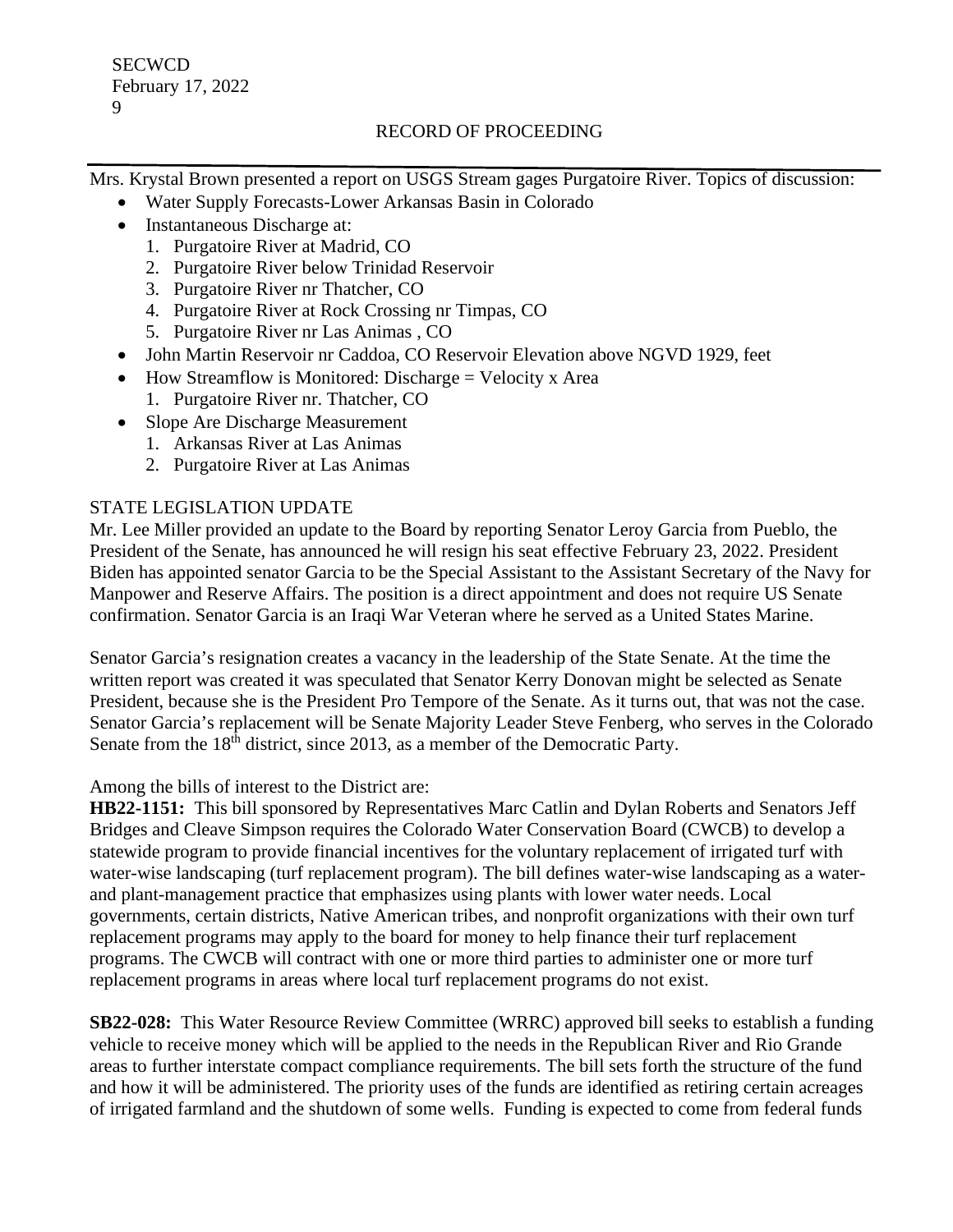Mrs. Krystal Brown presented a report on USGS Stream gages Purgatoire River. Topics of discussion:

- Water Supply Forecasts-Lower Arkansas Basin in Colorado
- Instantaneous Discharge at:
	- 1. Purgatoire River at Madrid, CO
	- 2. Purgatoire River below Trinidad Reservoir
	- 3. Purgatoire River nr Thatcher, CO
	- 4. Purgatoire River at Rock Crossing nr Timpas, CO
	- 5. Purgatoire River nr Las Animas , CO
- John Martin Reservoir nr Caddoa, CO Reservoir Elevation above NGVD 1929, feet
- How Streamflow is Monitored: Discharge = Velocity x Area
	- 1. Purgatoire River nr. Thatcher, CO
- Slope Are Discharge Measurement
	- 1. Arkansas River at Las Animas
	- 2. Purgatoire River at Las Animas

# STATE LEGISLATION UPDATE

Mr. Lee Miller provided an update to the Board by reporting Senator Leroy Garcia from Pueblo, the President of the Senate, has announced he will resign his seat effective February 23, 2022. President Biden has appointed senator Garcia to be the Special Assistant to the Assistant Secretary of the Navy for Manpower and Reserve Affairs. The position is a direct appointment and does not require US Senate confirmation. Senator Garcia is an Iraqi War Veteran where he served as a United States Marine.

Senator Garcia's resignation creates a vacancy in the leadership of the State Senate. At the time the written report was created it was speculated that Senator Kerry Donovan might be selected as Senate President, because she is the President Pro Tempore of the Senate. As it turns out, that was not the case. Senator Garcia's replacement will be Senate Majority Leader Steve Fenberg, who serves in the Colorado Senate from the  $18<sup>th</sup>$  district, since 2013, as a member of the Democratic Party.

Among the bills of interest to the District are:

**HB22-1151:** This bill sponsored by Representatives Marc Catlin and Dylan Roberts and Senators Jeff Bridges and Cleave Simpson requires the Colorado Water Conservation Board (CWCB) to develop a statewide program to provide financial incentives for the voluntary replacement of irrigated turf with water-wise landscaping (turf replacement program). The bill defines water-wise landscaping as a waterand plant-management practice that emphasizes using plants with lower water needs. Local governments, certain districts, Native American tribes, and nonprofit organizations with their own turf replacement programs may apply to the board for money to help finance their turf replacement programs. The CWCB will contract with one or more third parties to administer one or more turf replacement programs in areas where local turf replacement programs do not exist.

**SB22-028:** This Water Resource Review Committee (WRRC) approved bill seeks to establish a funding vehicle to receive money which will be applied to the needs in the Republican River and Rio Grande areas to further interstate compact compliance requirements. The bill sets forth the structure of the fund and how it will be administered. The priority uses of the funds are identified as retiring certain acreages of irrigated farmland and the shutdown of some wells. Funding is expected to come from federal funds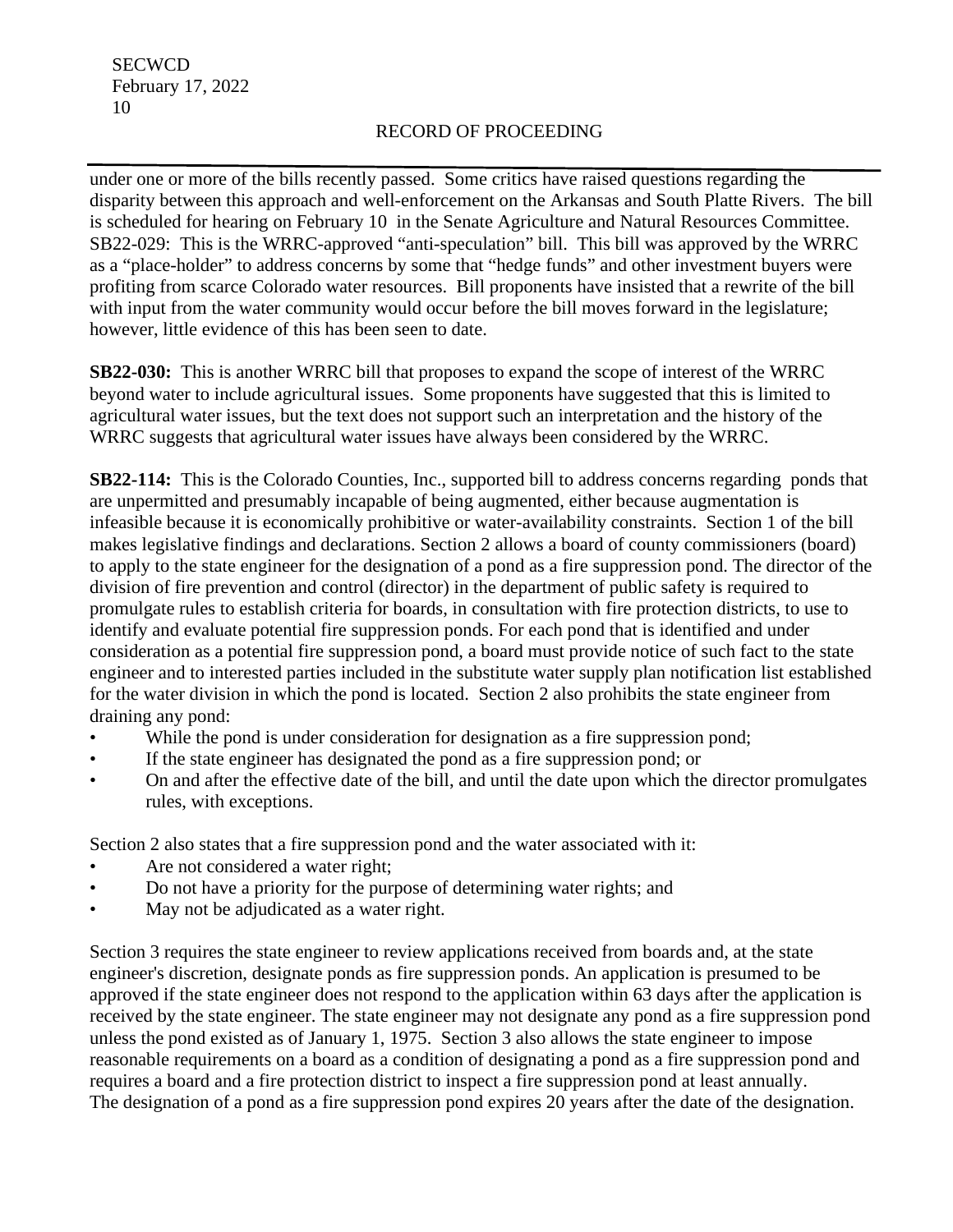under one or more of the bills recently passed. Some critics have raised questions regarding the disparity between this approach and well-enforcement on the Arkansas and South Platte Rivers. The bill is scheduled for hearing on February 10 in the Senate Agriculture and Natural Resources Committee. SB22-029: This is the WRRC-approved "anti-speculation" bill. This bill was approved by the WRRC as a "place-holder" to address concerns by some that "hedge funds" and other investment buyers were profiting from scarce Colorado water resources. Bill proponents have insisted that a rewrite of the bill with input from the water community would occur before the bill moves forward in the legislature; however, little evidence of this has been seen to date.

**SB22-030:** This is another WRRC bill that proposes to expand the scope of interest of the WRRC beyond water to include agricultural issues. Some proponents have suggested that this is limited to agricultural water issues, but the text does not support such an interpretation and the history of the WRRC suggests that agricultural water issues have always been considered by the WRRC.

**SB22-114:** This is the Colorado Counties, Inc., supported bill to address concerns regarding ponds that are unpermitted and presumably incapable of being augmented, either because augmentation is infeasible because it is economically prohibitive or water-availability constraints. Section 1 of the bill makes legislative findings and declarations. Section 2 allows a board of county commissioners (board) to apply to the state engineer for the designation of a pond as a fire suppression pond. The director of the division of fire prevention and control (director) in the department of public safety is required to promulgate rules to establish criteria for boards, in consultation with fire protection districts, to use to identify and evaluate potential fire suppression ponds. For each pond that is identified and under consideration as a potential fire suppression pond, a board must provide notice of such fact to the state engineer and to interested parties included in the substitute water supply plan notification list established for the water division in which the pond is located. Section 2 also prohibits the state engineer from draining any pond:

- While the pond is under consideration for designation as a fire suppression pond;
- If the state engineer has designated the pond as a fire suppression pond; or
- On and after the effective date of the bill, and until the date upon which the director promulgates rules, with exceptions.

Section 2 also states that a fire suppression pond and the water associated with it:

- Are not considered a water right;
- Do not have a priority for the purpose of determining water rights; and
- May not be adjudicated as a water right.

Section 3 requires the state engineer to review applications received from boards and, at the state engineer's discretion, designate ponds as fire suppression ponds. An application is presumed to be approved if the state engineer does not respond to the application within 63 days after the application is received by the state engineer. The state engineer may not designate any pond as a fire suppression pond unless the pond existed as of January 1, 1975. Section 3 also allows the state engineer to impose reasonable requirements on a board as a condition of designating a pond as a fire suppression pond and requires a board and a fire protection district to inspect a fire suppression pond at least annually. The designation of a pond as a fire suppression pond expires 20 years after the date of the designation.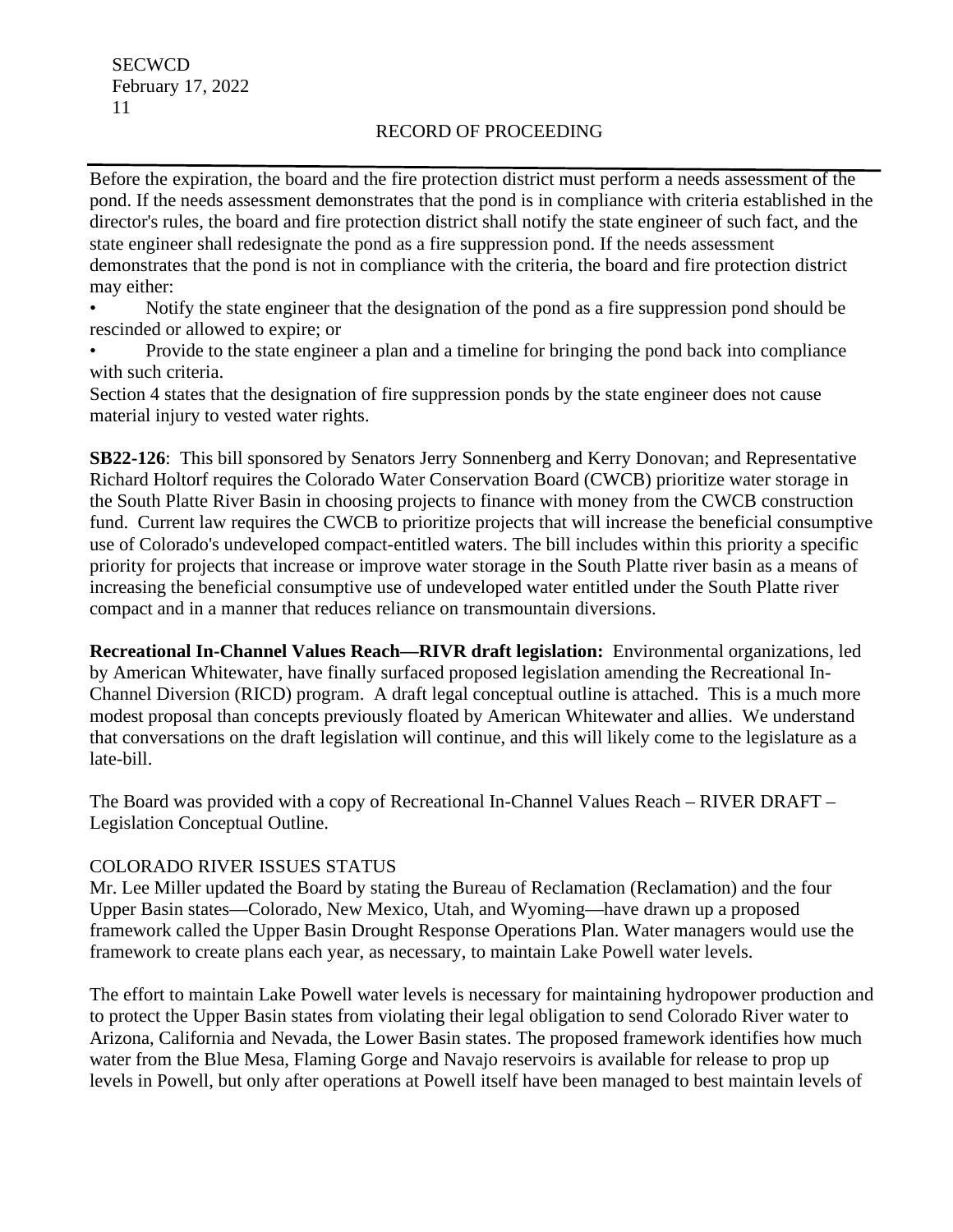Before the expiration, the board and the fire protection district must perform a needs assessment of the pond. If the needs assessment demonstrates that the pond is in compliance with criteria established in the director's rules, the board and fire protection district shall notify the state engineer of such fact, and the state engineer shall redesignate the pond as a fire suppression pond. If the needs assessment demonstrates that the pond is not in compliance with the criteria, the board and fire protection district may either:

• Notify the state engineer that the designation of the pond as a fire suppression pond should be rescinded or allowed to expire; or

• Provide to the state engineer a plan and a timeline for bringing the pond back into compliance with such criteria.

Section 4 states that the designation of fire suppression ponds by the state engineer does not cause material injury to vested water rights.

**SB22-126**: This bill sponsored by Senators Jerry Sonnenberg and Kerry Donovan; and Representative Richard Holtorf requires the Colorado Water Conservation Board (CWCB) prioritize water storage in the South Platte River Basin in choosing projects to finance with money from the CWCB construction fund. Current law requires the CWCB to prioritize projects that will increase the beneficial consumptive use of Colorado's undeveloped compact-entitled waters. The bill includes within this priority a specific priority for projects that increase or improve water storage in the South Platte river basin as a means of increasing the beneficial consumptive use of undeveloped water entitled under the South Platte river compact and in a manner that reduces reliance on transmountain diversions.

**Recreational In-Channel Values Reach—RIVR draft legislation:** Environmental organizations, led by American Whitewater, have finally surfaced proposed legislation amending the Recreational In-Channel Diversion (RICD) program. A draft legal conceptual outline is attached. This is a much more modest proposal than concepts previously floated by American Whitewater and allies. We understand that conversations on the draft legislation will continue, and this will likely come to the legislature as a late-bill.

The Board was provided with a copy of Recreational In-Channel Values Reach – RIVER DRAFT – Legislation Conceptual Outline.

## COLORADO RIVER ISSUES STATUS

Mr. Lee Miller updated the Board by stating the Bureau of Reclamation (Reclamation) and the four Upper Basin states—Colorado, New Mexico, Utah, and Wyoming—have drawn up a proposed framework called the Upper Basin Drought Response Operations Plan. Water managers would use the framework to create plans each year, as necessary, to maintain Lake Powell water levels.

The effort to maintain Lake Powell water levels is necessary for maintaining hydropower production and to protect the Upper Basin states from violating their legal obligation to send Colorado River water to Arizona, California and Nevada, the Lower Basin states. The proposed framework identifies how much water from the Blue Mesa, Flaming Gorge and Navajo reservoirs is available for release to prop up levels in Powell, but only after operations at Powell itself have been managed to best maintain levels of